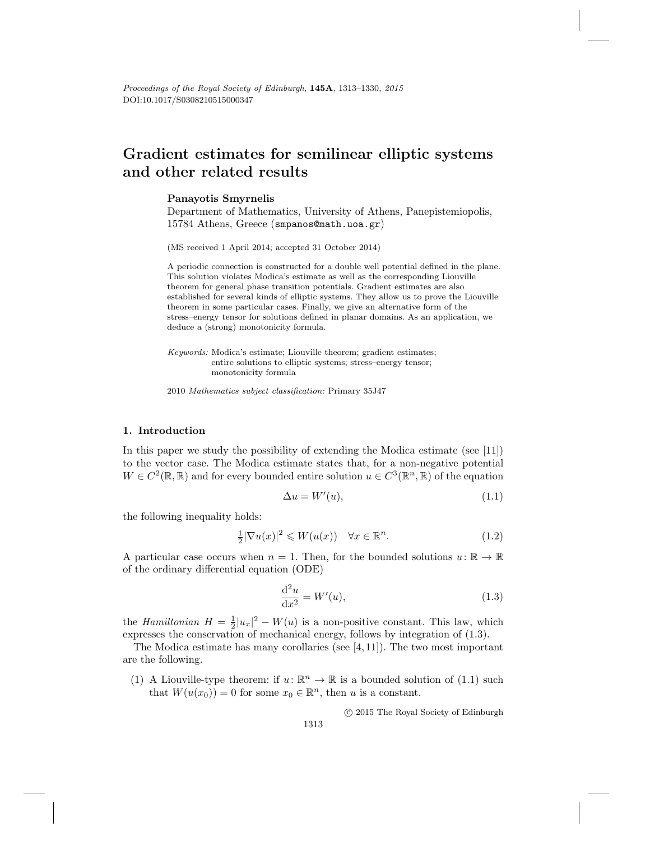# **Gradient estimates for semilinear elliptic systems and other related results**

#### **Panayotis Smyrnelis**

Department of Mathematics, University of Athens, Panepistemiopolis, 15784 Athens, Greece (smpanos@math.uoa.gr)

(MS received 1 April 2014; accepted 31 October 2014)

A periodic connection is constructed for a double well potential defined in the plane. This solution violates Modica's estimate as well as the corresponding Liouville theorem for general phase transition potentials. Gradient estimates are also established for several kinds of elliptic systems. They allow us to prove the Liouville theorem in some particular cases. Finally, we give an alternative form of the stress–energy tensor for solutions defined in planar domains. As an application, we deduce a (strong) monotonicity formula.

Keywords: Modica's estimate; Liouville theorem; gradient estimates; entire solutions to elliptic systems; stress–energy tensor; monotonicity formula

2010 Mathematics subject classification: Primary 35J47

### **1. Introduction**

In this paper we study the possibility of extending the Modica estimate (see [11]) to the vector case. The Modica estimate states that, for a non-negative potential  $W \in C^2(\mathbb{R}, \mathbb{R})$  and for every bounded entire solution  $u \in C^3(\mathbb{R}^n, \mathbb{R})$  of the equation

$$
\Delta u = W'(u),\tag{1.1}
$$

the following inequality holds:

$$
\frac{1}{2}|\nabla u(x)|^2 \leqslant W(u(x)) \quad \forall x \in \mathbb{R}^n. \tag{1.2}
$$

A particular case occurs when  $n = 1$ . Then, for the bounded solutions  $u: \mathbb{R} \to \mathbb{R}$ of the ordinary differential equation (ODE)

$$
\frac{\mathrm{d}^2 u}{\mathrm{d}x^2} = W'(u),\tag{1.3}
$$

the *Hamiltonian*  $H = \frac{1}{2} |u_x|^2 - W(u)$  is a non-positive constant. This law, which expresses the conservation of mechanical energy, follows by integration of (1.3).

The Modica estimate has many corollaries (see [4,11]). The two most important are the following.

(1) A Liouville-type theorem: if  $u: \mathbb{R}^n \to \mathbb{R}$  is a bounded solution of (1.1) such that  $W(u(x_0)) = 0$  for some  $x_0 \in \mathbb{R}^n$ , then u is a constant.

c 2015 The Royal Society of Edinburgh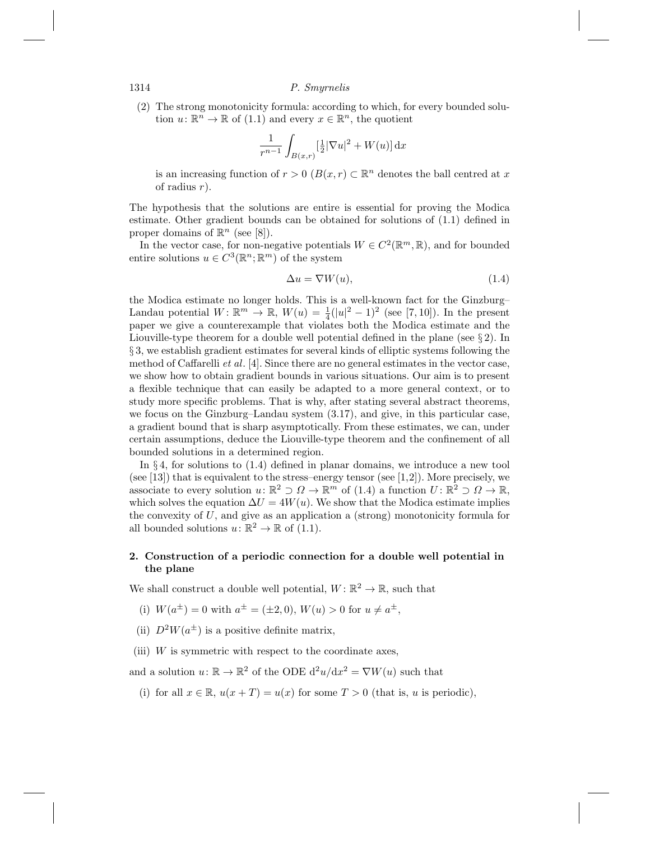(2) The strong monotonicity formula: according to which, for every bounded solution  $u: \mathbb{R}^n \to \mathbb{R}$  of (1.1) and every  $x \in \mathbb{R}^n$ , the quotient

$$
\frac{1}{r^{n-1}}\int_{B(x,r)}\left[\frac{1}{2}|\nabla u|^2 + W(u)\right]\mathrm{d}x
$$

is an increasing function of  $r > 0$   $(B(x, r) \subset \mathbb{R}^n$  denotes the ball centred at x of radius r).

The hypothesis that the solutions are entire is essential for proving the Modica estimate. Other gradient bounds can be obtained for solutions of (1.1) defined in proper domains of  $\mathbb{R}^n$  (see [8]).

In the vector case, for non-negative potentials  $W \in C^2(\mathbb{R}^m, \mathbb{R})$ , and for bounded entire solutions  $u \in C^3(\mathbb{R}^n;\mathbb{R}^m)$  of the system

$$
\Delta u = \nabla W(u),\tag{1.4}
$$

the Modica estimate no longer holds. This is a well-known fact for the Ginzburg– Landau potential  $W: \mathbb{R}^m \to \mathbb{R}$ ,  $W(u) = \frac{1}{4}(|u|^2 - 1)^2$  (see [7, 10]). In the present paper we give a counterexample that violates both the Modica estimate and the Liouville-type theorem for a double well potential defined in the plane (see § 2). In § 3, we establish gradient estimates for several kinds of elliptic systems following the method of Caffarelli et al. [4]. Since there are no general estimates in the vector case, we show how to obtain gradient bounds in various situations. Our aim is to present a flexible technique that can easily be adapted to a more general context, or to study more specific problems. That is why, after stating several abstract theorems, we focus on the Ginzburg–Landau system (3.17), and give, in this particular case, a gradient bound that is sharp asymptotically. From these estimates, we can, under certain assumptions, deduce the Liouville-type theorem and the confinement of all bounded solutions in a determined region.

In § 4, for solutions to (1.4) defined in planar domains, we introduce a new tool (see [13]) that is equivalent to the stress–energy tensor (see [1,2]). More precisely, we associate to every solution  $u: \mathbb{R}^2 \supset \Omega \to \mathbb{R}^m$  of (1.4) a function  $U: \mathbb{R}^2 \supset \Omega \to \mathbb{R}$ . which solves the equation  $\Delta U = 4W(u)$ . We show that the Modica estimate implies the convexity of  $U$ , and give as an application a (strong) monotonicity formula for all bounded solutions  $u: \mathbb{R}^2 \to \mathbb{R}$  of (1.1).

## **2. Construction of a periodic connection for a double well potential in the plane**

We shall construct a double well potential,  $W: \mathbb{R}^2 \to \mathbb{R}$ , such that

- (i)  $W(a^{\pm}) = 0$  with  $a^{\pm} = (\pm 2, 0), W(u) > 0$  for  $u \neq a^{\pm}$ ,
- (ii)  $D^2W(a^{\pm})$  is a positive definite matrix,
- (iii)  $W$  is symmetric with respect to the coordinate axes,

and a solution  $u: \mathbb{R} \to \mathbb{R}^2$  of the ODE  $d^2u/dx^2 = \nabla W(u)$  such that

(i) for all  $x \in \mathbb{R}$ ,  $u(x+T) = u(x)$  for some  $T > 0$  (that is, u is periodic),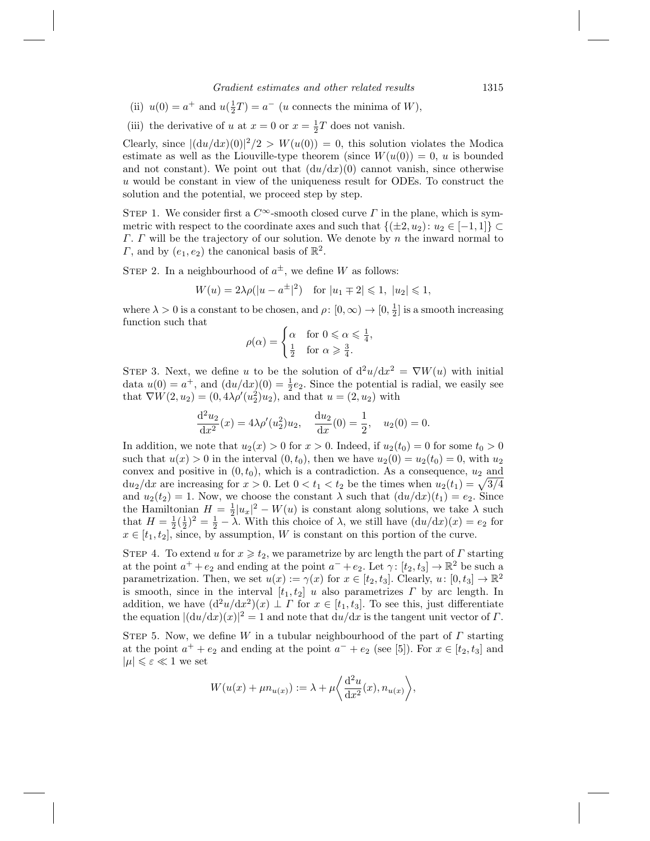- (ii)  $u(0) = a^+$  and  $u(\frac{1}{2}T) = a^-$  (*u* connects the minima of *W*),
- (iii) the derivative of u at  $x = 0$  or  $x = \frac{1}{2}T$  does not vanish.

Clearly, since  $|(\mathrm{d}u/\mathrm{d}x)(0)|^2/2 > W(u(0)) = 0$ , this solution violates the Modica estimate as well as the Liouville-type theorem (since  $W(u(0)) = 0, u$  is bounded and not constant). We point out that  $(\frac{du}{dx})(0)$  cannot vanish, since otherwise u would be constant in view of the uniqueness result for ODEs. To construct the solution and the potential, we proceed step by step.

STEP 1. We consider first a  $C^{\infty}$ -smooth closed curve  $\Gamma$  in the plane, which is symmetric with respect to the coordinate axes and such that  $\{(\pm 2, u_2): u_2 \in [-1, 1]\} \subset$  $\Gamma$ .  $\Gamma$  will be the trajectory of our solution. We denote by  $n$  the inward normal to  $\Gamma$ , and by  $(e_1, e_2)$  the canonical basis of  $\mathbb{R}^2$ .

STEP 2. In a neighbourhood of  $a^{\pm}$ , we define W as follows:

$$
W(u) = 2\lambda \rho(|u - a^{\pm}|^2) \text{ for } |u_1 \mp 2| \leq 1, |u_2| \leq 1,
$$

where  $\lambda > 0$  is a constant to be chosen, and  $\rho: [0, \infty) \to [0, \frac{1}{2}]$  is a smooth increasing function such that

$$
\rho(\alpha) = \begin{cases} \alpha & \text{for } 0 \leq \alpha \leq \frac{1}{4}, \\ \frac{1}{2} & \text{for } \alpha \geq \frac{3}{4}. \end{cases}
$$

STEP 3. Next, we define u to be the solution of  $d^2u/dx^2 = \nabla W(u)$  with initial data  $u(0) = a^+$ , and  $(du/dx)(0) = \frac{1}{2}e_2$ . Since the potential is radial, we easily see that  $\nabla W(2, u_2) = (0, 4\lambda \rho'(u_2^2)u_2)$ , and that  $u = (2, u_2)$  with

$$
\frac{d^2u_2}{dx^2}(x) = 4\lambda \rho'(u_2^2)u_2, \quad \frac{du_2}{dx}(0) = \frac{1}{2}, \quad u_2(0) = 0.
$$

In addition, we note that  $u_2(x) > 0$  for  $x > 0$ . Indeed, if  $u_2(t_0) = 0$  for some  $t_0 > 0$ such that  $u(x) > 0$  in the interval  $(0, t_0)$ , then we have  $u_2(0) = u_2(t_0) = 0$ , with  $u_2$ convex and positive in  $(0, t_0)$ , which is a contradiction. As a consequence,  $u_2$  and  $du_2/dx$  are increasing for  $x > 0$ . Let  $0 < t_1 < t_2$  be the times when  $u_2(t_1) = \sqrt{3/4}$ and  $u_2(t_2) = 1$ . Now, we choose the constant  $\lambda$  such that  $(du/dx)(t_1) = e_2$ . Since the Hamiltonian  $H = \frac{1}{2} |u_x|^2 - W(u)$  is constant along solutions, we take  $\lambda$  such that  $H = \frac{1}{2}(\frac{1}{2})^2 = \frac{1}{2} - \lambda$ . With this choice of  $\lambda$ , we still have  $(du/dx)(x) = e_2$  for  $x \in [t_1, t_2]$ , since, by assumption, W is constant on this portion of the curve.

STEP 4. To extend u for  $x \geq t_2$ , we parametrize by arc length the part of  $\Gamma$  starting at the point  $a^+ + e_2$  and ending at the point  $a^- + e_2$ . Let  $\gamma : [t_2, t_3] \to \mathbb{R}^2$  be such a parametrization. Then, we set  $u(x) := \gamma(x)$  for  $x \in [t_2, t_3]$ . Clearly,  $u: [0, t_3] \to \mathbb{R}^2$ is smooth, since in the interval  $[t_1, t_2]$  u also parametrizes  $\Gamma$  by arc length. In addition, we have  $(d^2u/dx^2)(x) \perp \Gamma$  for  $x \in [t_1, t_3]$ . To see this, just differentiate the equation  $|(\mathrm{d}u/\mathrm{d}x)(x)|^2 = 1$  and note that  $\mathrm{d}u/\mathrm{d}x$  is the tangent unit vector of  $\Gamma$ .

STEP 5. Now, we define W in a tubular neighbourhood of the part of  $\Gamma$  starting at the point  $a^+ + e_2$  and ending at the point  $a^- + e_2$  (see [5]). For  $x \in [t_2, t_3]$  and  $|\mu| \leq \varepsilon \ll 1$  we set

$$
W(u(x) + \mu n_{u(x)}) := \lambda + \mu \left\langle \frac{d^2 u}{dx^2}(x), n_{u(x)} \right\rangle,
$$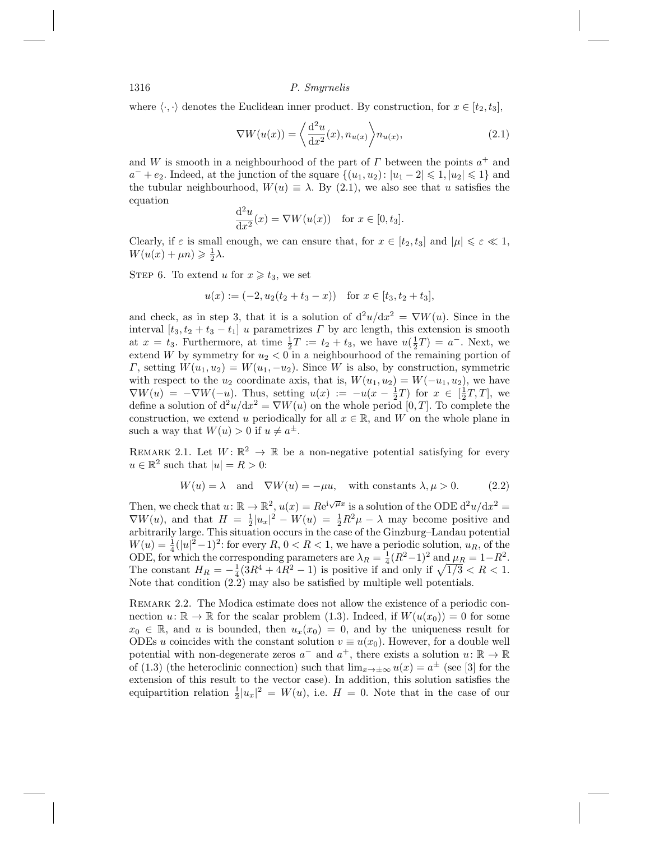where  $\langle \cdot, \cdot \rangle$  denotes the Euclidean inner product. By construction, for  $x \in [t_2, t_3]$ ,

$$
\nabla W(u(x)) = \left\langle \frac{\mathrm{d}^2 u}{\mathrm{d}x^2}(x), n_{u(x)} \right\rangle n_{u(x)},\tag{2.1}
$$

and W is smooth in a neighbourhood of the part of  $\Gamma$  between the points  $a^+$  and  $a^- + e_2$ . Indeed, at the junction of the square  $\{(u_1, u_2): |u_1 - 2| \leq 1, |u_2| \leq 1\}$  and the tubular neighbourhood,  $W(u) \equiv \lambda$ . By (2.1), we also see that u satisfies the equation

$$
\frac{\mathrm{d}^2 u}{\mathrm{d}x^2}(x) = \nabla W(u(x)) \quad \text{for } x \in [0, t_3].
$$

Clearly, if  $\varepsilon$  is small enough, we can ensure that, for  $x \in [t_2, t_3]$  and  $|\mu| \leq \varepsilon \leq 1$ ,  $W(u(x) + \mu n) \geq \frac{1}{2}\lambda.$ 

STEP 6. To extend u for  $x \geq t_3$ , we set

$$
u(x) := (-2, u_2(t_2 + t_3 - x))
$$
 for  $x \in [t_3, t_2 + t_3]$ ,

and check, as in step 3, that it is a solution of  $d^2u/dx^2 = \nabla W(u)$ . Since in the interval  $[t_3, t_2 + t_3 - t_1]$  u parametrizes  $\Gamma$  by arc length, this extension is smooth at  $x = t_3$ . Furthermore, at time  $\frac{1}{2}T := t_2 + t_3$ , we have  $u(\frac{1}{2}T) = a^-$ . Next, we extend W by symmetry for  $u_2 < 0$  in a neighbourhood of the remaining portion of  $\Gamma$ , setting  $W(u_1, u_2) = W(u_1, -u_2)$ . Since W is also, by construction, symmetric with respect to the  $u_2$  coordinate axis, that is,  $W(u_1, u_2) = W(-u_1, u_2)$ , we have  $\nabla W(u) = -\nabla W(-u)$ . Thus, setting  $u(x) := -u(x - \frac{1}{2}T)$  for  $x \in [\frac{1}{2}T, T]$ , we define a solution of  $d^2u/dx^2 = \nabla W(u)$  on the whole period [0, T]. To complete the construction, we extend u periodically for all  $x \in \mathbb{R}$ , and W on the whole plane in such a way that  $W(u) > 0$  if  $u \neq a^{\pm}$ .

REMARK 2.1. Let  $W: \mathbb{R}^2 \to \mathbb{R}$  be a non-negative potential satisfying for every  $u \in \mathbb{R}^2$  such that  $|u| = R > 0$ :

$$
W(u) = \lambda \quad \text{and} \quad \nabla W(u) = -\mu u, \quad \text{with constants } \lambda, \mu > 0. \tag{2.2}
$$

Then, we check that  $u: \mathbb{R} \to \mathbb{R}^2$ ,  $u(x) = Re^{i\sqrt{\mu}x}$  is a solution of the ODE  $d^2u/dx^2 =$  $\nabla W(u)$ , and that  $H = \frac{1}{2}|u_x|^2 - W(u) = \frac{1}{2}R^2\mu - \lambda$  may become positive and arbitrarily large. This situation occurs in the case of the Ginzburg–Landau potential  $W(u) = \frac{1}{4}(|u|^2 - 1)^2$ : for every  $R, 0 < R < 1$ , we have a periodic solution,  $u_R$ , of the ODE, for which the corresponding parameters are  $\lambda_R = \frac{1}{4}(R^2-1)^2$  and  $\mu_R = 1-R^2$ . The constant  $H_R = -\frac{1}{4}(3R^4 + 4R^2 - 1)$  is positive if and only if  $\sqrt{1/3} < R < 1$ . Note that condition (2.2) may also be satisfied by multiple well potentials.

REMARK 2.2. The Modica estimate does not allow the existence of a periodic connection  $u: \mathbb{R} \to \mathbb{R}$  for the scalar problem (1.3). Indeed, if  $W(u(x_0)) = 0$  for some  $x_0 \in \mathbb{R}$ , and u is bounded, then  $u_x(x_0) = 0$ , and by the uniqueness result for ODEs u coincides with the constant solution  $v \equiv u(x_0)$ . However, for a double well potential with non-degenerate zeros  $a^-$  and  $a^+$ , there exists a solution  $u: \mathbb{R} \to \mathbb{R}$ of (1.3) (the heteroclinic connection) such that  $\lim_{x\to\pm\infty}u(x)=a^{\pm}$  (see [3] for the extension of this result to the vector case). In addition, this solution satisfies the equipartition relation  $\frac{1}{2}|u_x|^2 = W(u)$ , i.e.  $H = 0$ . Note that in the case of our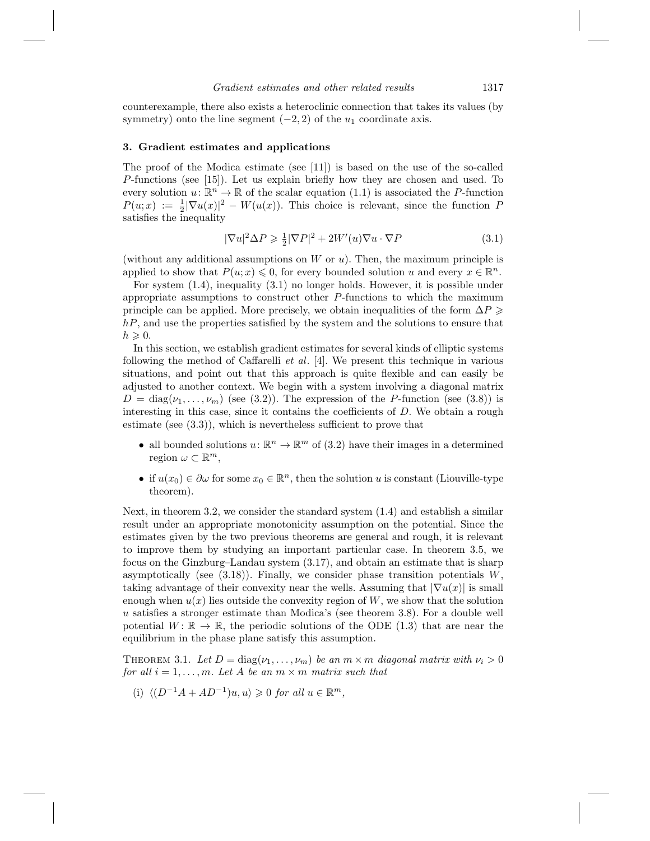counterexample, there also exists a heteroclinic connection that takes its values (by symmetry) onto the line segment  $(-2, 2)$  of the  $u_1$  coordinate axis.

#### **3. Gradient estimates and applications**

The proof of the Modica estimate (see [11]) is based on the use of the so-called P-functions (see [15]). Let us explain briefly how they are chosen and used. To every solution  $u: \mathbb{R}^n \to \mathbb{R}$  of the scalar equation (1.1) is associated the P-function  $P(u; x) := \frac{1}{2} |\nabla u(x)|^2 - W(u(x))$ . This choice is relevant, since the function P satisfies the inequality

$$
|\nabla u|^2 \Delta P \ge \frac{1}{2} |\nabla P|^2 + 2W'(u)\nabla u \cdot \nabla P \tag{3.1}
$$

(without any additional assumptions on  $W$  or  $u$ ). Then, the maximum principle is applied to show that  $P(u; x) \leq 0$ , for every bounded solution u and every  $x \in \mathbb{R}^n$ .

For system (1.4), inequality (3.1) no longer holds. However, it is possible under appropriate assumptions to construct other P-functions to which the maximum principle can be applied. More precisely, we obtain inequalities of the form  $\Delta P \geqslant$  $hP$ , and use the properties satisfied by the system and the solutions to ensure that  $h \geqslant 0.$ 

In this section, we establish gradient estimates for several kinds of elliptic systems following the method of Caffarelli et al. [4]. We present this technique in various situations, and point out that this approach is quite flexible and can easily be adjusted to another context. We begin with a system involving a diagonal matrix  $D = \text{diag}(\nu_1, \dots, \nu_m)$  (see (3.2)). The expression of the P-function (see (3.8)) is interesting in this case, since it contains the coefficients of  $D$ . We obtain a rough estimate (see (3.3)), which is nevertheless sufficient to prove that

- all bounded solutions  $u: \mathbb{R}^n \to \mathbb{R}^m$  of (3.2) have their images in a determined region  $\omega \subset \mathbb{R}^m$ ,
- if  $u(x_0) \in \partial \omega$  for some  $x_0 \in \mathbb{R}^n$ , then the solution u is constant (Liouville-type theorem).

Next, in theorem 3.2, we consider the standard system (1.4) and establish a similar result under an appropriate monotonicity assumption on the potential. Since the estimates given by the two previous theorems are general and rough, it is relevant to improve them by studying an important particular case. In theorem 3.5, we focus on the Ginzburg–Landau system (3.17), and obtain an estimate that is sharp asymptotically (see  $(3.18)$ ). Finally, we consider phase transition potentials  $W$ , taking advantage of their convexity near the wells. Assuming that  $|\nabla u(x)|$  is small enough when  $u(x)$  lies outside the convexity region of W, we show that the solution u satisfies a stronger estimate than Modica's (see theorem 3.8). For a double well potential  $W: \mathbb{R} \to \mathbb{R}$ , the periodic solutions of the ODE (1.3) that are near the equilibrium in the phase plane satisfy this assumption.

THEOREM 3.1. Let  $D = diag(\nu_1, \dots, \nu_m)$  be an  $m \times m$  diagonal matrix with  $\nu_i > 0$ for all  $i = 1, \ldots, m$ . Let A be an  $m \times m$  matrix such that

(i)  $\langle (D^{-1}A + AD^{-1})u, u \rangle \geq 0$  for all  $u \in \mathbb{R}^m$ ,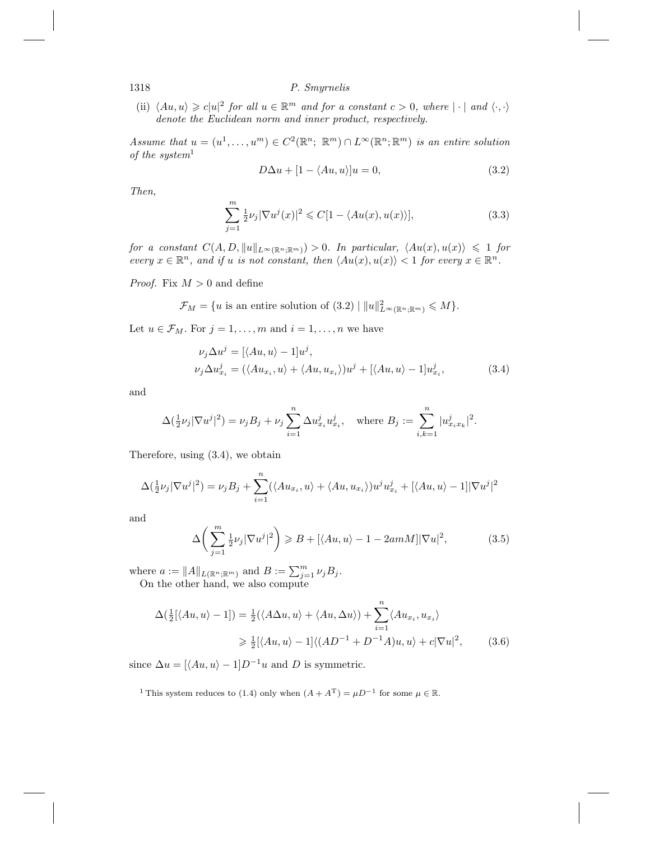(ii)  $\langle Au, u \rangle \geq c|u|^2$  for all  $u \in \mathbb{R}^m$  and for a constant  $c > 0$ , where  $|\cdot|$  and  $\langle \cdot, \cdot \rangle$ denote the Euclidean norm and inner product, respectively.

Assume that  $u = (u^1, \ldots, u^m) \in C^2(\mathbb{R}^n; \mathbb{R}^m) \cap L^{\infty}(\mathbb{R}^n; \mathbb{R}^m)$  is an entire solution of the system<sup>1</sup>

$$
D\Delta u + [1 - \langle Au, u \rangle]u = 0,\t\t(3.2)
$$

Then,

$$
\sum_{j=1}^{m} \frac{1}{2} \nu_j |\nabla u^j(x)|^2 \leq C[1 - \langle Au(x), u(x) \rangle],\tag{3.3}
$$

for a constant  $C(A, D, ||u||_{L^{\infty}(\mathbb{R}^n : \mathbb{R}^m)}) > 0$ . In particular,  $\langle Au(x), u(x) \rangle \leq 1$  for every  $x \in \mathbb{R}^n$ , and if u is not constant, then  $\langle Au(x), u(x) \rangle < 1$  for every  $x \in \mathbb{R}^n$ .

*Proof.* Fix  $M > 0$  and define

$$
\mathcal{F}_M = \{ u \text{ is an entire solution of } (3.2) \mid ||u||^2_{L^{\infty}(\mathbb{R}^n; \mathbb{R}^m)} \leqslant M \}.
$$

Let  $u \in \mathcal{F}_M$ . For  $j = 1, \ldots, m$  and  $i = 1, \ldots, n$  we have

$$
\nu_j \Delta u^j = [\langle Au, u \rangle - 1]u^j,
$$
  
\n
$$
\nu_j \Delta u^j_{x_i} = (\langle Au_{x_i}, u \rangle + \langle Au, u_{x_i} \rangle)u^j + [\langle Au, u \rangle - 1]u^j_{x_i},
$$
\n(3.4)

and

$$
\Delta(\frac{1}{2}\nu_j|\nabla u^j|^2) = \nu_j B_j + \nu_j \sum_{i=1}^n \Delta u_{x_i}^j u_{x_i}^j, \text{ where } B_j := \sum_{i,k=1}^n |u_{x_ix_k}^j|^2.
$$

Therefore, using (3.4), we obtain

$$
\Delta(\frac{1}{2}\nu_j|\nabla u^j|^2) = \nu_j B_j + \sum_{i=1}^n (\langle Au_{x_i}, u \rangle + \langle Au, u_{x_i} \rangle) u^j u^j_{x_i} + [\langle Au, u \rangle - 1] |\nabla u^j|^2
$$

and

$$
\Delta\bigg(\sum_{j=1}^{m} \frac{1}{2} \nu_j |\nabla u^j|^2\bigg) \geq B + \left[\langle Au, u \rangle - 1 - 2amM \right] |\nabla u|^2,\tag{3.5}
$$

where  $a := ||A||_{L(\mathbb{R}^n; \mathbb{R}^m)}$  and  $B := \sum_{j=1}^m \nu_j B_j$ . On the other hand, we also compute

$$
\Delta(\frac{1}{2}[\langle Au, u \rangle - 1]) = \frac{1}{2}(\langle A\Delta u, u \rangle + \langle Au, \Delta u \rangle) + \sum_{i=1}^{n} \langle Au_{x_i}, u_{x_i} \rangle
$$
  
\n
$$
\geq \frac{1}{2}[\langle Au, u \rangle - 1] \langle (AD^{-1} + D^{-1}A)u, u \rangle + c|\nabla u|^2,
$$
\n(3.6)

since  $\Delta u = [\langle Au, u \rangle - 1] D^{-1}u$  and D is symmetric.

<sup>1</sup> This system reduces to (1.4) only when  $(A + A^{T}) = \mu D^{-1}$  for some  $\mu \in \mathbb{R}$ .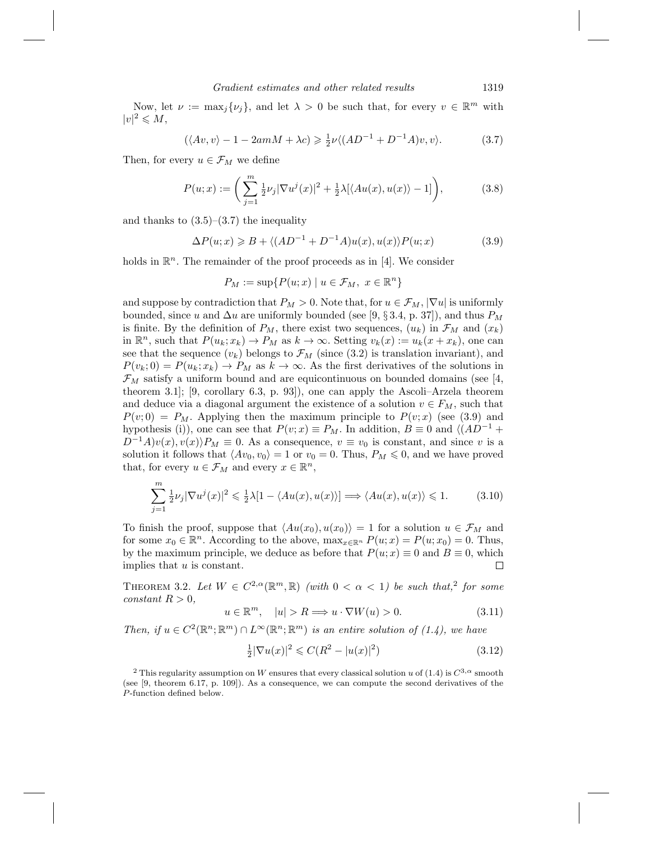Now, let  $\nu := \max_j {\{\nu_j\}}$ , and let  $\lambda > 0$  be such that, for every  $v \in \mathbb{R}^m$  with  $|v|^2 \leqslant M,$ 

$$
(\langle Av, v \rangle - 1 - 2amM + \lambda c) \geq \frac{1}{2}\nu \langle (AD^{-1} + D^{-1}A)v, v \rangle.
$$
 (3.7)

Then, for every  $u \in \mathcal{F}_M$  we define

$$
P(u;x) := \left(\sum_{j=1}^{m} \frac{1}{2} \nu_j |\nabla u^j(x)|^2 + \frac{1}{2}\lambda [\langle Au(x), u(x) \rangle - 1] \right),\tag{3.8}
$$

and thanks to  $(3.5)$ – $(3.7)$  the inequality

$$
\Delta P(u;x) \geq B + \langle (AD^{-1} + D^{-1}A)u(x), u(x) \rangle P(u;x)
$$
\n(3.9)

holds in  $\mathbb{R}^n$ . The remainder of the proof proceeds as in [4]. We consider

$$
P_M := \sup\{P(u; x) \mid u \in \mathcal{F}_M, \ x \in \mathbb{R}^n\}
$$

and suppose by contradiction that  $P_M > 0$ . Note that, for  $u \in \mathcal{F}_M$ ,  $|\nabla u|$  is uniformly bounded, since u and  $\Delta u$  are uniformly bounded (see [9, § 3.4, p. 37]), and thus  $P_M$ is finite. By the definition of  $P_M$ , there exist two sequences,  $(u_k)$  in  $\mathcal{F}_M$  and  $(x_k)$ in  $\mathbb{R}^n$ , such that  $P(u_k; x_k) \to P_M$  as  $k \to \infty$ . Setting  $v_k(x) := u_k(x + x_k)$ , one can see that the sequence  $(v_k)$  belongs to  $\mathcal{F}_M$  (since (3.2) is translation invariant), and  $P(v_k; 0) = P(u_k; x_k) \rightarrow P_M$  as  $k \rightarrow \infty$ . As the first derivatives of the solutions in  $\mathcal{F}_M$  satisfy a uniform bound and are equicontinuous on bounded domains (see [4, theorem 3.1]; [9, corollary 6.3, p. 93]), one can apply the Ascoli–Arzela theorem and deduce via a diagonal argument the existence of a solution  $v \in F_M$ , such that  $P(v; 0) = P_M$ . Applying then the maximum principle to  $P(v; x)$  (see (3.9) and hypothesis (i)), one can see that  $P(v; x) \equiv P_M$ . In addition,  $B \equiv 0$  and  $\langle (AD^{-1} +$  $D^{-1}A)v(x), v(x)$   $P_M \equiv 0$ . As a consequence,  $v \equiv v_0$  is constant, and since v is a solution it follows that  $\langle Av_0, v_0 \rangle = 1$  or  $v_0 = 0$ . Thus,  $P_M \leq 0$ , and we have proved that, for every  $u \in \mathcal{F}_M$  and every  $x \in \mathbb{R}^n$ ,

$$
\sum_{j=1}^{m} \frac{1}{2} \nu_j |\nabla u^j(x)|^2 \leq \frac{1}{2}\lambda [1 - \langle Au(x), u(x) \rangle] \Longrightarrow \langle Au(x), u(x) \rangle \leq 1. \tag{3.10}
$$

To finish the proof, suppose that  $\langle Au(x_0), u(x_0) \rangle = 1$  for a solution  $u \in \mathcal{F}_M$  and for some  $x_0 \in \mathbb{R}^n$ . According to the above,  $\max_{x \in \mathbb{R}^n} P(u; x) = P(u; x_0) = 0$ . Thus, by the maximum principle, we deduce as before that  $P(u; x) \equiv 0$  and  $B \equiv 0$ , which implies that u is constant.  $\Box$ 

THEOREM 3.2. Let  $W \in C^{2,\alpha}(\mathbb{R}^m,\mathbb{R})$  (with  $0 < \alpha < 1$ ) be such that,<sup>2</sup> for some  $constant R > 0,$ 

$$
u \in \mathbb{R}^m, \quad |u| > R \Longrightarrow u \cdot \nabla W(u) > 0. \tag{3.11}
$$

Then, if  $u \in C^2(\mathbb{R}^n;\mathbb{R}^m) \cap L^\infty(\mathbb{R}^n;\mathbb{R}^m)$  is an entire solution of  $(1.4)$ , we have

$$
\frac{1}{2}|\nabla u(x)|^2 \leq C(R^2 - |u(x)|^2)
$$
\n(3.12)

<sup>&</sup>lt;sup>2</sup> This regularity assumption on W ensures that every classical solution u of (1.4) is  $C^{3,\alpha}$  smooth (see [9, theorem 6.17, p. 109]). As a consequence, we can compute the second derivatives of the P-function defined below.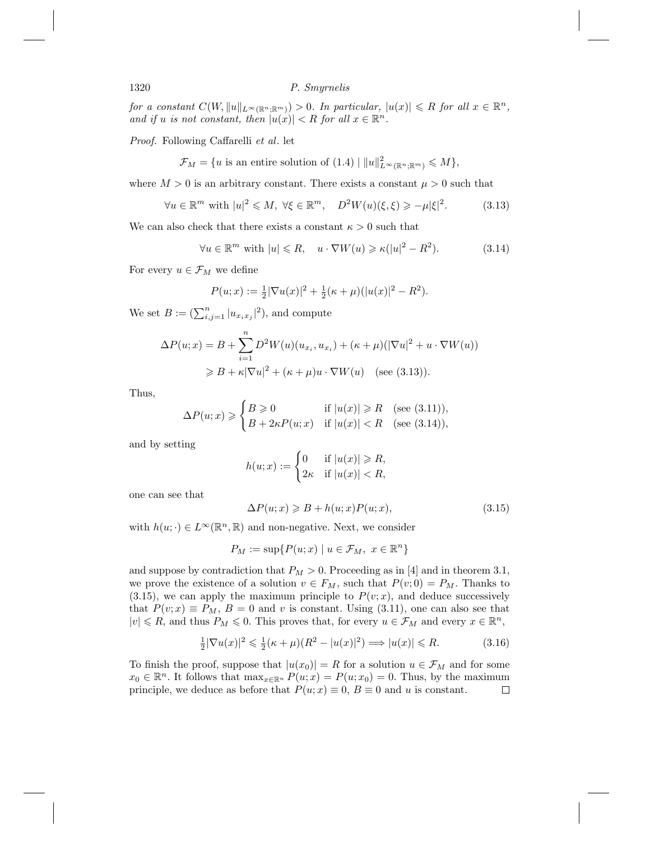for a constant  $C(W, \|u\|_{L^{\infty}(\mathbb{R}^n:\mathbb{R}^m)}) > 0$ . In particular,  $|u(x)| \le R$  for all  $x \in \mathbb{R}^n$ , and if u is not constant, then  $|u(x)| < R$  for all  $x \in \mathbb{R}^n$ .

Proof. Following Caffarelli et al. let

 $\mathcal{F}_M = \{u \text{ is an entire solution of } (1.4) \mid ||u||^2_{L^{\infty}(\mathbb{R}^n; \mathbb{R}^m)} \leqslant M\},\$ 

where  $M > 0$  is an arbitrary constant. There exists a constant  $\mu > 0$  such that

$$
\forall u \in \mathbb{R}^m \text{ with } |u|^2 \leqslant M, \ \forall \xi \in \mathbb{R}^m, \quad D^2 W(u)(\xi, \xi) \geqslant -\mu |\xi|^2. \tag{3.13}
$$

We can also check that there exists a constant  $\kappa > 0$  such that

$$
\forall u \in \mathbb{R}^m \text{ with } |u| \leq R, \quad u \cdot \nabla W(u) \geq \kappa(|u|^2 - R^2). \tag{3.14}
$$

For every  $u \in \mathcal{F}_M$  we define

$$
P(u; x) := \frac{1}{2} |\nabla u(x)|^2 + \frac{1}{2} (\kappa + \mu) (|u(x)|^2 - R^2).
$$

We set  $B := (\sum_{i,j=1}^n |u_{x_ix_j}|^2)$ , and compute

$$
\Delta P(u; x) = B + \sum_{i=1}^{n} D^2 W(u)(u_{x_i}, u_{x_i}) + (\kappa + \mu)(|\nabla u|^2 + u \cdot \nabla W(u))
$$
  
\n
$$
\geq B + \kappa |\nabla u|^2 + (\kappa + \mu)u \cdot \nabla W(u) \quad \text{(see (3.13))}.
$$

Thus,

$$
\Delta P(u; x) \geq \begin{cases} B \geq 0 & \text{if } |u(x)| \geq R \quad (\text{see } (3.11)), \\ B + 2\kappa P(u; x) & \text{if } |u(x)| < R \quad (\text{see } (3.14)), \end{cases}
$$

and by setting

$$
h(u; x) := \begin{cases} 0 & \text{if } |u(x)| \ge R, \\ 2\kappa & \text{if } |u(x)| < R, \end{cases}
$$

one can see that

$$
\Delta P(u; x) \geq B + h(u; x)P(u; x), \tag{3.15}
$$

with  $h(u; \cdot) \in L^{\infty}(\mathbb{R}^n, \mathbb{R})$  and non-negative. Next, we consider

$$
P_M := \sup \{ P(u; x) \mid u \in \mathcal{F}_M, \ x \in \mathbb{R}^n \}
$$

and suppose by contradiction that  $P_M > 0$ . Proceeding as in [4] and in theorem 3.1, we prove the existence of a solution  $v \in F_M$ , such that  $P(v; 0) = P_M$ . Thanks to  $(3.15)$ , we can apply the maximum principle to  $P(v; x)$ , and deduce successively that  $P(v; x) \equiv P_M$ ,  $B = 0$  and v is constant. Using (3.11), one can also see that  $|v| \le R$ , and thus  $P_M \le 0$ . This proves that, for every  $u \in \mathcal{F}_M$  and every  $x \in \mathbb{R}^n$ ,

$$
\frac{1}{2}|\nabla u(x)|^2 \le \frac{1}{2}(\kappa + \mu)(R^2 - |u(x)|^2) \Longrightarrow |u(x)| \le R. \tag{3.16}
$$

To finish the proof, suppose that  $|u(x_0)| = R$  for a solution  $u \in \mathcal{F}_M$  and for some  $x_0 \in \mathbb{R}^n$ . It follows that  $\max_{x \in \mathbb{R}^n} P(u; x) = P(u; x_0) = 0$ . Thus, by the maximum principle, we deduce as before that  $P(u; x) \equiv 0$ ,  $B \equiv 0$  and u is constant. principle, we deduce as before that  $P(u; x) \equiv 0$ ,  $B \equiv 0$  and u is constant.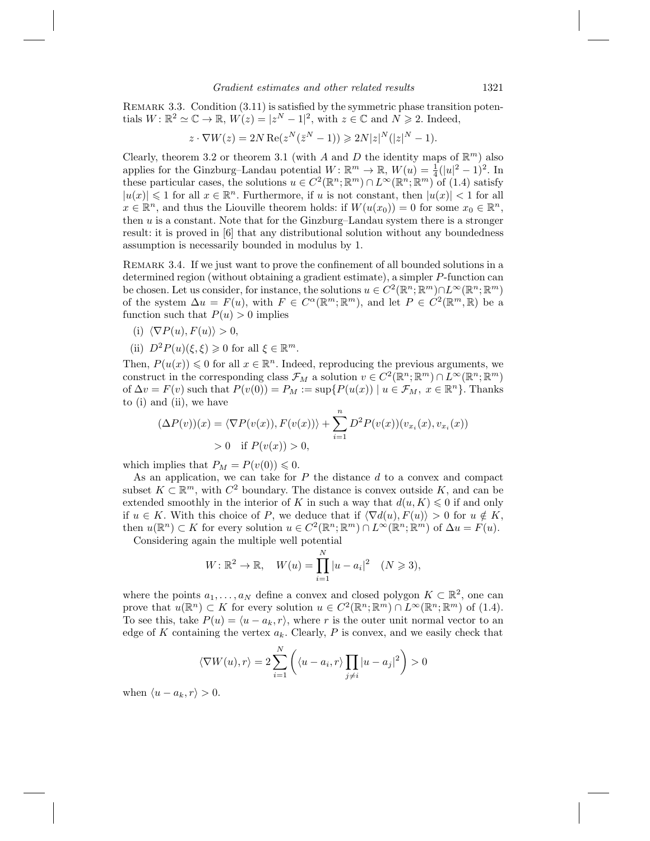REMARK 3.3. Condition  $(3.11)$  is satisfied by the symmetric phase transition potentials  $W: \mathbb{R}^2 \simeq \mathbb{C} \to \mathbb{R}, W(z) = |z^N - 1|^2$ , with  $z \in \mathbb{C}$  and  $N \geq 2$ . Indeed,

$$
z \cdot \nabla W(z) = 2N \operatorname{Re}(z^N(\bar{z}^N - 1)) \ge 2N|z|^N(|z|^N - 1).
$$

Clearly, theorem 3.2 or theorem 3.1 (with A and D the identity maps of  $\mathbb{R}^m$ ) also applies for the Ginzburg–Landau potential  $W: \mathbb{R}^m \to \mathbb{R}, W(u) = \frac{1}{4}(|u|^2 - 1)^2$ . In these particular cases, the solutions  $u \in C^2(\mathbb{R}^n;\mathbb{R}^m) \cap L^\infty(\mathbb{R}^n;\mathbb{R}^m)$  of (1.4) satisfy  $|u(x)| \leq 1$  for all  $x \in \mathbb{R}^n$ . Furthermore, if u is not constant, then  $|u(x)| < 1$  for all  $x \in \mathbb{R}^n$ , and thus the Liouville theorem holds: if  $W(u(x_0)) = 0$  for some  $x_0 \in \mathbb{R}^n$ , then  $u$  is a constant. Note that for the Ginzburg–Landau system there is a stronger result: it is proved in [6] that any distributional solution without any boundedness assumption is necessarily bounded in modulus by 1.

REMARK 3.4. If we just want to prove the confinement of all bounded solutions in a determined region (without obtaining a gradient estimate), a simpler P-function can be chosen. Let us consider, for instance, the solutions  $u \in C^2(\mathbb{R}^n;\mathbb{R}^m) \cap L^\infty(\mathbb{R}^n;\mathbb{R}^m)$ of the system  $\Delta u = F(u)$ , with  $F \in C^{\alpha}(\mathbb{R}^m;\mathbb{R}^m)$ , and let  $P \in C^2(\mathbb{R}^m;\mathbb{R})$  be a function such that  $P(u) > 0$  implies

- (i)  $\langle \nabla P(u), F(u) \rangle > 0$ ,
- (ii)  $D^2 P(u)(\xi, \xi) \geq 0$  for all  $\xi \in \mathbb{R}^m$ .

Then,  $P(u(x)) \leq 0$  for all  $x \in \mathbb{R}^n$ . Indeed, reproducing the previous arguments, we construct in the corresponding class  $\mathcal{F}_M$  a solution  $v \in C^2(\mathbb{R}^n;\mathbb{R}^m) \cap L^\infty(\mathbb{R}^n;\mathbb{R}^m)$ of  $\Delta v = F(v)$  such that  $P(v(0)) = P_M := \sup\{P(u(x)) \mid u \in \mathcal{F}_M, x \in \mathbb{R}^n\}$ . Thanks to (i) and (ii), we have

$$
(\Delta P(v))(x) = \langle \nabla P(v(x)), F(v(x)) \rangle + \sum_{i=1}^{n} D^2 P(v(x))(v_{x_i}(x), v_{x_i}(x))
$$
  
> 0 if  $P(v(x)) > 0$ ,

which implies that  $P_M = P(v(0)) \leq 0$ .

As an application, we can take for  $P$  the distance  $d$  to a convex and compact subset  $K \subset \mathbb{R}^m$ , with  $C^2$  boundary. The distance is convex outside K, and can be extended smoothly in the interior of K in such a way that  $d(u, K) \leq 0$  if and only if  $u \in K$ . With this choice of P, we deduce that if  $\langle \nabla d(u), F(u) \rangle > 0$  for  $u \notin K$ . then  $u(\mathbb{R}^n) \subset K$  for every solution  $u \in C^2(\mathbb{R}^n;\mathbb{R}^m) \cap L^\infty(\mathbb{R}^n;\mathbb{R}^m)$  of  $\Delta u = F(u)$ .

Considering again the multiple well potential

$$
W: \mathbb{R}^2 \to \mathbb{R}, \quad W(u) = \prod_{i=1}^{N} |u - a_i|^2 \quad (N \geq 3),
$$

where the points  $a_1, \ldots, a_N$  define a convex and closed polygon  $K \subset \mathbb{R}^2$ , one can prove that  $u(\mathbb{R}^n) \subset K$  for every solution  $u \in C^2(\mathbb{R}^n;\mathbb{R}^m) \cap L^\infty(\mathbb{R}^n;\mathbb{R}^m)$  of (1.4). To see this, take  $P(u) = \langle u - a_k, r \rangle$ , where r is the outer unit normal vector to an edge of K containing the vertex  $a_k$ . Clearly, P is convex, and we easily check that

$$
\langle \nabla W(u), r \rangle = 2 \sum_{i=1}^{N} \left( \langle u - a_i, r \rangle \prod_{j \neq i} |u - a_j|^2 \right) > 0
$$

when  $\langle u - a_k, r \rangle > 0$ .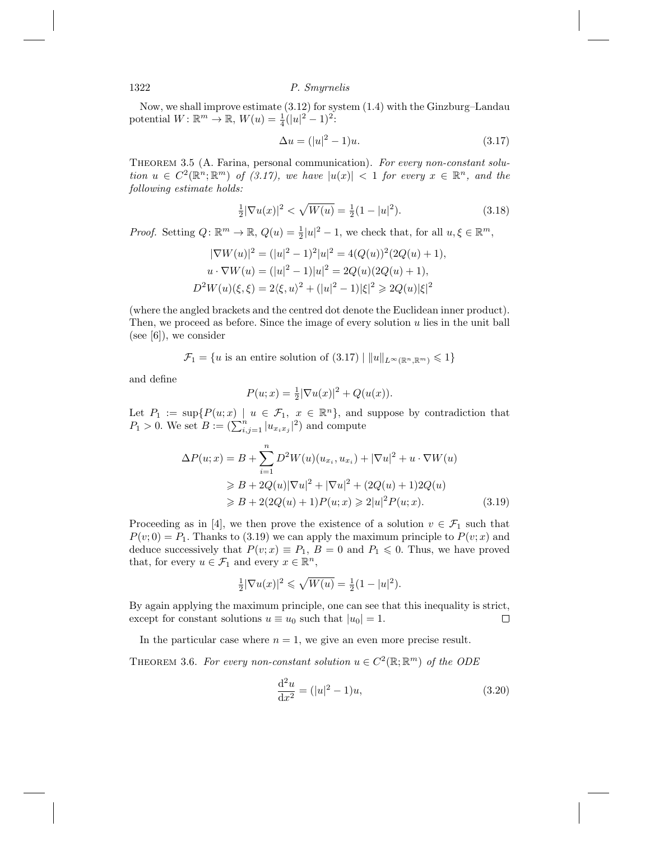Now, we shall improve estimate (3.12) for system (1.4) with the Ginzburg–Landau potential  $W: \mathbb{R}^m \to \mathbb{R}, W(u) = \frac{1}{4}(|u|^2 - 1)^2$ :

$$
\Delta u = (|u|^2 - 1)u.
$$
\n(3.17)

THEOREM 3.5 (A. Farina, personal communication). For every non-constant solution  $u \in C^2(\mathbb{R}^n;\mathbb{R}^m)$  of (3.17), we have  $|u(x)| < 1$  for every  $x \in \mathbb{R}^n$ , and the following estimate holds:

$$
\frac{1}{2}|\nabla u(x)|^2 < \sqrt{W(u)} = \frac{1}{2}(1 - |u|^2). \tag{3.18}
$$

*Proof.* Setting  $Q: \mathbb{R}^m \to \mathbb{R}$ ,  $Q(u) = \frac{1}{2}|u|^2 - 1$ , we check that, for all  $u, \xi \in \mathbb{R}^m$ ,

$$
|\nabla W(u)|^2 = (|u|^2 - 1)^2 |u|^2 = 4(Q(u))^2 (2Q(u) + 1),
$$
  
\n
$$
u \cdot \nabla W(u) = (|u|^2 - 1)|u|^2 = 2Q(u)(2Q(u) + 1),
$$
  
\n
$$
D^2 W(u)(\xi, \xi) = 2\langle \xi, u \rangle^2 + (|u|^2 - 1)|\xi|^2 \ge 2Q(u)|\xi|^2
$$

(where the angled brackets and the centred dot denote the Euclidean inner product). Then, we proceed as before. Since the image of every solution  $u$  lies in the unit ball (see  $[6]$ ), we consider

 $\mathcal{F}_1 = \{u \text{ is an entire solution of } (3.17) \mid ||u||_{L^{\infty}(\mathbb{R}^n, \mathbb{R}^m)} \leq 1\}$ 

and define

$$
P(u; x) = \frac{1}{2} |\nabla u(x)|^2 + Q(u(x)).
$$

Let  $P_1 := \sup\{P(u; x) \mid u \in \mathcal{F}_1, x \in \mathbb{R}^n\}$ , and suppose by contradiction that  $P_1 > 0$ . We set  $B := (\sum_{i,j=1}^n |u_{x_ix_j}|^2)$  and compute

$$
\Delta P(u; x) = B + \sum_{i=1}^{n} D^2 W(u)(u_{x_i}, u_{x_i}) + |\nabla u|^2 + u \cdot \nabla W(u)
$$
  
\n
$$
\geq B + 2Q(u)|\nabla u|^2 + |\nabla u|^2 + (2Q(u) + 1)2Q(u)
$$
  
\n
$$
\geq B + 2(2Q(u) + 1)P(u; x) \geq 2|u|^2 P(u; x). \tag{3.19}
$$

Proceeding as in [4], we then prove the existence of a solution  $v \in \mathcal{F}_1$  such that  $P(v; 0) = P_1$ . Thanks to (3.19) we can apply the maximum principle to  $P(v; x)$  and deduce successively that  $P(v; x) \equiv P_1, B = 0$  and  $P_1 \leq 0$ . Thus, we have proved that, for every  $u \in \mathcal{F}_1$  and every  $x \in \mathbb{R}^n$ ,

$$
\frac{1}{2}|\nabla u(x)|^2 \leqslant \sqrt{W(u)} = \frac{1}{2}(1 - |u|^2).
$$

By again applying the maximum principle, one can see that this inequality is strict, except for constant solutions  $u \equiv u_0$  such that  $|u_0| = 1$ .  $\Box$ 

In the particular case where  $n = 1$ , we give an even more precise result.

THEOREM 3.6. For every non-constant solution  $u \in C^2(\mathbb{R}; \mathbb{R}^m)$  of the ODE

$$
\frac{d^2u}{dx^2} = (|u|^2 - 1)u,
$$
\n(3.20)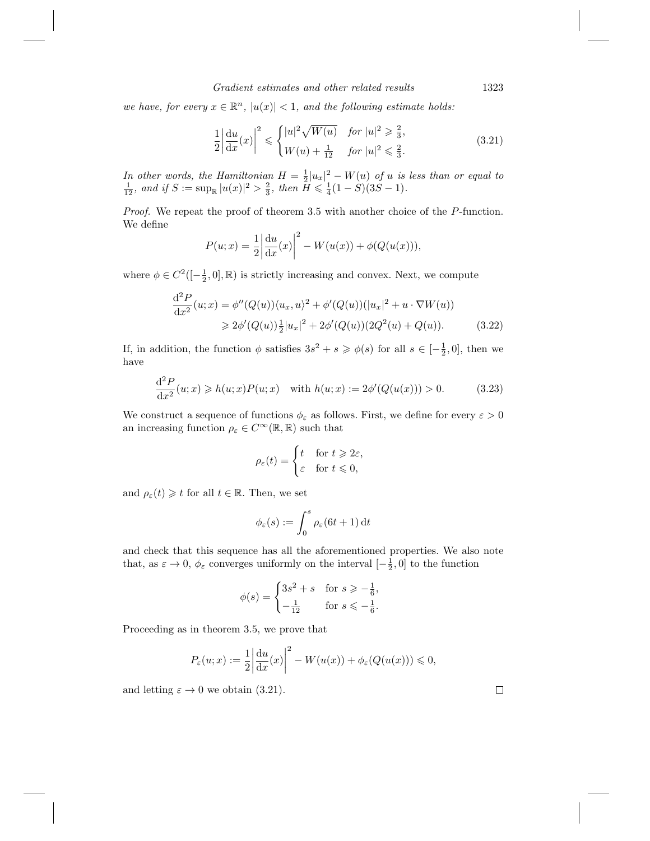we have, for every  $x \in \mathbb{R}^n$ ,  $|u(x)| < 1$ , and the following estimate holds:

$$
\frac{1}{2} \left| \frac{\mathrm{d}u}{\mathrm{d}x}(x) \right|^2 \leqslant \begin{cases} |u|^2 \sqrt{W(u)} & \text{for } |u|^2 \geqslant \frac{2}{3}, \\ W(u) + \frac{1}{12} & \text{for } |u|^2 \leqslant \frac{2}{3}. \end{cases}
$$
\n(3.21)

In other words, the Hamiltonian  $H = \frac{1}{2}|u_x|^2 - W(u)$  of u is less than or equal to  $\frac{1}{12}$ , and if  $S := \sup_{\mathbb{R}} |u(x)|^2 > \frac{2}{3}$ , then  $H \leq \frac{1}{4}(1 - S)(3S - 1)$ .

Proof. We repeat the proof of theorem 3.5 with another choice of the P-function. We define

$$
P(u; x) = \frac{1}{2} \left| \frac{du}{dx}(x) \right|^2 - W(u(x)) + \phi(Q(u(x))),
$$

where  $\phi \in C^2([-\frac{1}{2},0],\mathbb{R})$  is strictly increasing and convex. Next, we compute

$$
\frac{d^2 P}{dx^2}(u;x) = \phi''(Q(u))\langle u_x, u \rangle^2 + \phi'(Q(u))(|u_x|^2 + u \cdot \nabla W(u))
$$
  
\n
$$
\geq 2\phi'(Q(u))\frac{1}{2}|u_x|^2 + 2\phi'(Q(u))(2Q^2(u) + Q(u)).
$$
 (3.22)

If, in addition, the function  $\phi$  satisfies  $3s^2 + s \geq \phi(s)$  for all  $s \in [-\frac{1}{2}, 0]$ , then we have

$$
\frac{d^2 P}{dx^2}(u; x) \ge h(u; x)P(u; x) \quad \text{with } h(u; x) := 2\phi'(Q(u(x))) > 0.
$$
 (3.23)

We construct a sequence of functions  $\phi_{\varepsilon}$  as follows. First, we define for every  $\varepsilon > 0$ an increasing function  $\rho_{\varepsilon} \in C^{\infty}(\mathbb{R}, \mathbb{R})$  such that

$$
\rho_{\varepsilon}(t) = \begin{cases} t & \text{for } t \geq 2\varepsilon, \\ \varepsilon & \text{for } t \leq 0, \end{cases}
$$

and  $\rho_{\varepsilon}(t) \geqslant t$  for all  $t \in \mathbb{R}$ . Then, we set

$$
\phi_{\varepsilon}(s) := \int_0^s \rho_{\varepsilon}(6t+1) \, \mathrm{d}t
$$

and check that this sequence has all the aforementioned properties. We also note that, as  $\varepsilon \to 0$ ,  $\phi_{\varepsilon}$  converges uniformly on the interval  $[-\frac{1}{2},0]$  to the function

$$
\phi(s) = \begin{cases} 3s^2 + s & \text{for } s \ge -\frac{1}{6}, \\ -\frac{1}{12} & \text{for } s \le -\frac{1}{6}. \end{cases}
$$

Proceeding as in theorem 3.5, we prove that

$$
P_{\varepsilon}(u; x) := \frac{1}{2} \left| \frac{\mathrm{d}u}{\mathrm{d}x}(x) \right|^2 - W(u(x)) + \phi_{\varepsilon}(Q(u(x))) \leq 0,
$$

and letting  $\varepsilon \to 0$  we obtain (3.21).

 $\Box$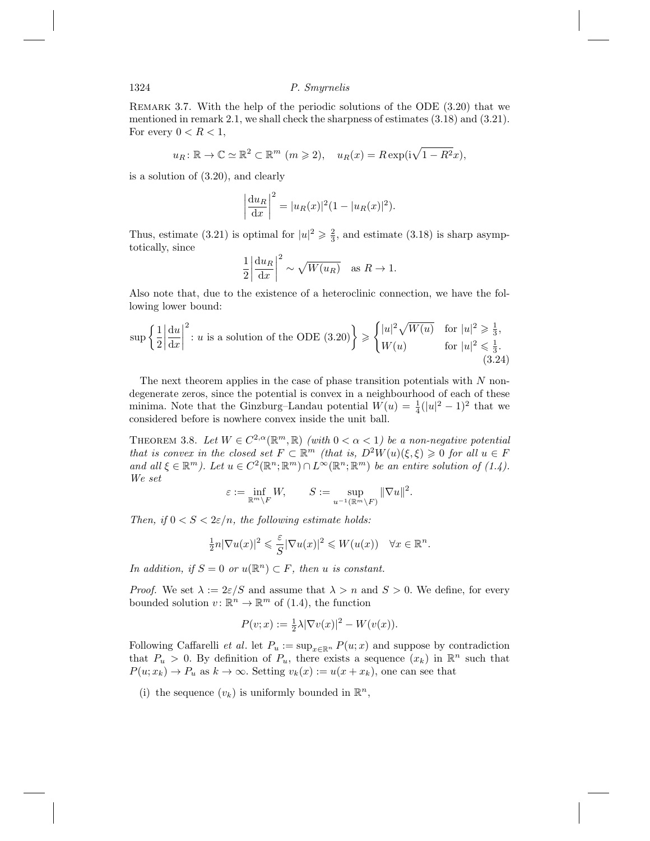Remark 3.7. With the help of the periodic solutions of the ODE (3.20) that we mentioned in remark 2.1, we shall check the sharpness of estimates (3.18) and (3.21). For every  $0 < R < 1$ ,

 $u_R \colon \mathbb{R} \to \mathbb{C} \simeq \mathbb{R}^2 \subset \mathbb{R}^m \ (m \geqslant 2), \quad u_R(x) = R \exp(\mathrm{i} \sqrt{1 - R^2} x),$ 

is a solution of (3.20), and clearly

$$
\left|\frac{du_R}{dx}\right|^2 = |u_R(x)|^2 (1 - |u_R(x)|^2).
$$

Thus, estimate (3.21) is optimal for  $|u|^2 \geqslant \frac{2}{3}$ , and estimate (3.18) is sharp asymptotically, since

$$
\frac{1}{2} \left| \frac{\mathrm{d}u_R}{\mathrm{d}x} \right|^2 \sim \sqrt{W(u_R)} \quad \text{as } R \to 1.
$$

Also note that, due to the existence of a heteroclinic connection, we have the following lower bound:

$$
\sup\left\{\frac{1}{2}\left|\frac{du}{dx}\right|^2: u \text{ is a solution of the ODE (3.20)}\right\} \geq \begin{cases} |u|^2\sqrt{W(u)} & \text{for } |u|^2 \geq \frac{1}{3}, \\ W(u) & \text{for } |u|^2 \leq \frac{1}{3}. \end{cases}
$$
\n
$$
(3.24)
$$

The next theorem applies in the case of phase transition potentials with N nondegenerate zeros, since the potential is convex in a neighbourhood of each of these minima. Note that the Ginzburg–Landau potential  $W(u) = \frac{1}{4}(|u|^2 - 1)^2$  that we considered before is nowhere convex inside the unit ball.

THEOREM 3.8. Let  $W \in C^{2,\alpha}(\mathbb{R}^m,\mathbb{R})$  (with  $0 < \alpha < 1$ ) be a non-negative potential that is convex in the closed set  $F \subset \mathbb{R}^m$  (that is,  $D^2W(u)(\xi,\xi) \geq 0$  for all  $u \in F$ and all  $\xi \in \mathbb{R}^m$ ). Let  $u \in C^2(\mathbb{R}^n;\mathbb{R}^m) \cap L^\infty(\mathbb{R}^n;\mathbb{R}^m)$  be an entire solution of (1.4). We set

$$
\varepsilon := \inf_{\mathbb{R}^m \setminus F} W, \qquad S := \sup_{u^{-1}(\mathbb{R}^m \setminus F)} \|\nabla u\|^2.
$$

Then, if  $0 < S < 2\varepsilon/n$ , the following estimate holds:

$$
\frac{1}{2}n|\nabla u(x)|^2 \leqslant \frac{\varepsilon}{S}|\nabla u(x)|^2 \leqslant W(u(x)) \quad \forall x \in \mathbb{R}^n.
$$

In addition, if  $S = 0$  or  $u(\mathbb{R}^n) \subset F$ , then u is constant.

*Proof.* We set  $\lambda := 2\varepsilon/S$  and assume that  $\lambda > n$  and  $S > 0$ . We define, for every bounded solution  $v: \mathbb{R}^n \to \mathbb{R}^m$  of (1.4), the function

$$
P(v; x) := \frac{1}{2}\lambda |\nabla v(x)|^2 - W(v(x)).
$$

Following Caffarelli et al. let  $P_u := \sup_{x \in \mathbb{R}^n} P(u; x)$  and suppose by contradiction that  $P_u > 0$ . By definition of  $P_u$ , there exists a sequence  $(x_k)$  in  $\mathbb{R}^n$  such that  $P(u; x_k) \to P_u$  as  $k \to \infty$ . Setting  $v_k(x) := u(x + x_k)$ , one can see that

(i) the sequence  $(v_k)$  is uniformly bounded in  $\mathbb{R}^n$ ,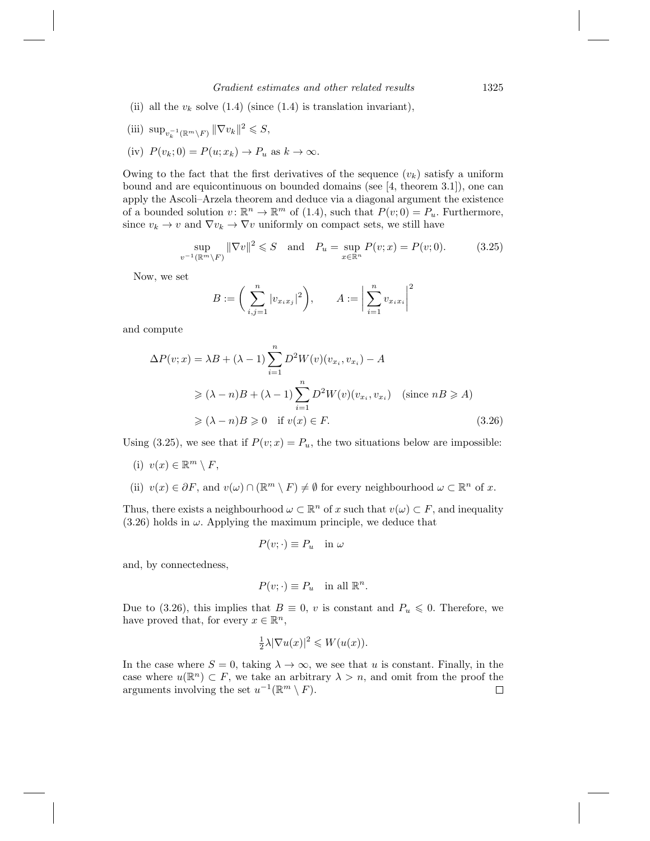- (ii) all the  $v_k$  solve (1.4) (since (1.4) is translation invariant),
- (iii)  $\sup_{v_k^{-1}(\mathbb{R}^m \setminus F)} \|\nabla v_k\|^2 \leqslant S,$
- (iv)  $P(v_k; 0) = P(u; x_k) \rightarrow P_u$  as  $k \rightarrow \infty$ .

Owing to the fact that the first derivatives of the sequence  $(v_k)$  satisfy a uniform bound and are equicontinuous on bounded domains (see [4, theorem 3.1]), one can apply the Ascoli–Arzela theorem and deduce via a diagonal argument the existence of a bounded solution  $v: \mathbb{R}^n \to \mathbb{R}^m$  of (1.4), such that  $P(v; 0) = P_u$ . Furthermore, since  $v_k \to v$  and  $\nabla v_k \to \nabla v$  uniformly on compact sets, we still have

$$
\sup_{v^{-1}(\mathbb{R}^m \setminus F)} \|\nabla v\|^2 \leqslant S \quad \text{and} \quad P_u = \sup_{x \in \mathbb{R}^n} P(v; x) = P(v; 0). \tag{3.25}
$$

Now, we set

$$
B := \left(\sum_{i,j=1}^{n} |v_{x_ix_j}|^2\right), \qquad A := \left|\sum_{i=1}^{n} v_{x_ix_i}\right|^2
$$

and compute

$$
\Delta P(v; x) = \lambda B + (\lambda - 1) \sum_{i=1}^{n} D^2 W(v) (v_{x_i}, v_{x_i}) - A
$$
  
\n
$$
\geq (\lambda - n)B + (\lambda - 1) \sum_{i=1}^{n} D^2 W(v) (v_{x_i}, v_{x_i}) \quad \text{(since } nB \geqslant A\text{)}
$$
  
\n
$$
\geqslant (\lambda - n)B \geqslant 0 \quad \text{if } v(x) \in F. \tag{3.26}
$$

Using (3.25), we see that if  $P(v; x) = P_u$ , the two situations below are impossible:

- (i)  $v(x) \in \mathbb{R}^m \setminus F$ ,
- (ii)  $v(x) \in \partial F$ , and  $v(\omega) \cap (\mathbb{R}^m \setminus F) \neq \emptyset$  for every neighbourhood  $\omega \subset \mathbb{R}^n$  of x.

Thus, there exists a neighbourhood  $\omega \subset \mathbb{R}^n$  of x such that  $v(\omega) \subset F$ , and inequality  $(3.26)$  holds in  $\omega$ . Applying the maximum principle, we deduce that

$$
P(v; \cdot) \equiv P_u \quad \text{in } \omega
$$

and, by connectedness,

$$
P(v; \cdot) \equiv P_u \quad \text{in all } \mathbb{R}^n.
$$

Due to (3.26), this implies that  $B \equiv 0$ , v is constant and  $P_u \leq 0$ . Therefore, we have proved that, for every  $x \in \mathbb{R}^n$ ,

$$
\frac{1}{2}\lambda |\nabla u(x)|^2 \leqslant W(u(x)).
$$

In the case where  $S = 0$ , taking  $\lambda \to \infty$ , we see that u is constant. Finally, in the case where  $u(\mathbb{R}^n) \subset F$ , we take an arbitrary  $\lambda > n$ , and omit from the proof the arguments involving the set  $u^{-1}(\mathbb{R}^m \setminus F)$ .  $\Box$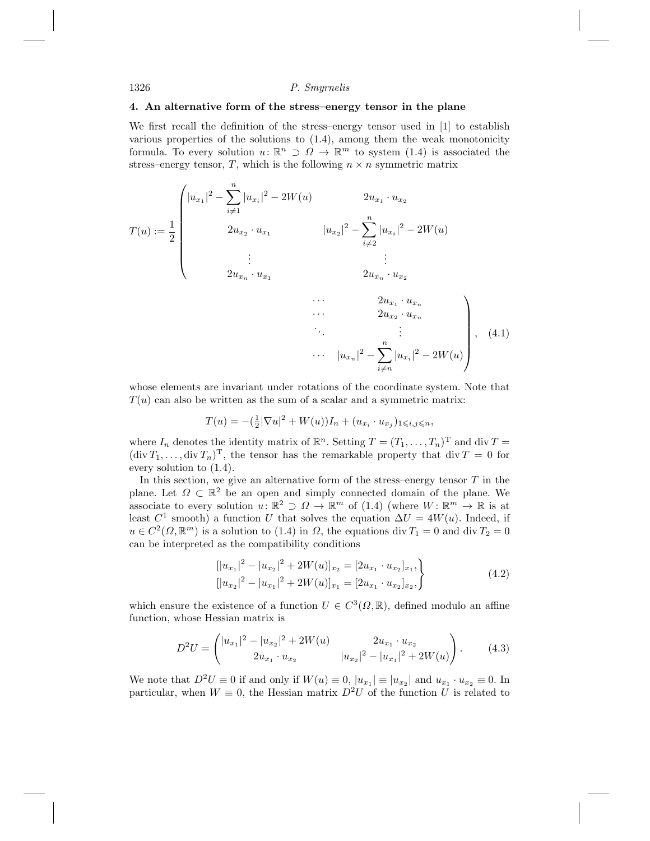#### **4. An alternative form of the stress–energy tensor in the plane**

We first recall the definition of the stress–energy tensor used in [1] to establish various properties of the solutions to (1.4), among them the weak monotonicity formula. To every solution  $u: \mathbb{R}^n \supset \Omega \to \mathbb{R}^m$  to system (1.4) is associated the stress–energy tensor, T, which is the following  $n \times n$  symmetric matrix

$$
T(u) := \frac{1}{2} \begin{pmatrix} |u_{x_1}|^2 - \sum_{i=1}^n |u_{x_i}|^2 - 2W(u) & 2u_{x_1} \cdot u_{x_2} \\ 2u_{x_2} \cdot u_{x_1} & |u_{x_2}|^2 - \sum_{i=1}^n |u_{x_i}|^2 - 2W(u) \\ \vdots & \vdots & \vdots \\ 2u_{x_n} \cdot u_{x_1} & 2u_{x_n} \cdot u_{x_2} & 2u_{x_1} \cdot u_{x_n} \\ \cdots & 2u_{x_2} \cdot u_{x_n} & 2u_{x_2} \cdot u_{x_n} \\ \vdots & \vdots & \vdots \\ 2u_{x_n} |u_{x_n}|^2 - \sum_{i=1}^n |u_{x_i}|^2 - 2W(u) \end{pmatrix}, \quad (4.1)
$$

whose elements are invariant under rotations of the coordinate system. Note that  $T(u)$  can also be written as the sum of a scalar and a symmetric matrix:

$$
T(u) = -(\frac{1}{2}|\nabla u|^2 + W(u))I_n + (u_{x_i} \cdot u_{x_j})_{1 \le i,j \le n},
$$

where  $I_n$  denotes the identity matrix of  $\mathbb{R}^n$ . Setting  $T = (T_1, \ldots, T_n)$ <sup>T</sup> and div  $T =$  $(\text{div } T_1,\ldots,\text{div } T_n)^T$ , the tensor has the remarkable property that  $\text{div } T = 0$  for every solution to (1.4).

In this section, we give an alternative form of the stress–energy tensor  $T$  in the plane. Let  $\Omega \subset \mathbb{R}^2$  be an open and simply connected domain of the plane. We associate to every solution  $u: \mathbb{R}^2 \supset \Omega \to \mathbb{R}^m$  of (1.4) (where  $W: \mathbb{R}^m \to \mathbb{R}$  is at least  $C^1$  smooth) a function U that solves the equation  $\Delta U = 4W(u)$ . Indeed, if  $u \in C^2(\Omega, \mathbb{R}^m)$  is a solution to (1.4) in  $\Omega$ , the equations div  $T_1 = 0$  and div  $T_2 = 0$ can be interpreted as the compatibility conditions

$$
[|u_{x_1}|^2 - |u_{x_2}|^2 + 2W(u)]_{x_2} = [2u_{x_1} \cdot u_{x_2}]_{x_1},
$$
  
\n
$$
[|u_{x_2}|^2 - |u_{x_1}|^2 + 2W(u)]_{x_1} = [2u_{x_1} \cdot u_{x_2}]_{x_2},
$$
\n(4.2)

which ensure the existence of a function  $U \in C^3(\Omega, \mathbb{R})$ , defined modulo an affine function, whose Hessian matrix is

$$
D^2U = \begin{pmatrix} |u_{x_1}|^2 - |u_{x_2}|^2 + 2W(u) & 2u_{x_1} \cdot u_{x_2} \\ 2u_{x_1} \cdot u_{x_2} & |u_{x_2}|^2 - |u_{x_1}|^2 + 2W(u) \end{pmatrix}.
$$
 (4.3)

We note that  $D^2U \equiv 0$  if and only if  $W(u) \equiv 0$ ,  $|u_{x_1}| \equiv |u_{x_2}|$  and  $u_{x_1} \cdot u_{x_2} \equiv 0$ . In particular, when  $W \equiv 0$ , the Hessian matrix  $D^2U$  of the function U is related to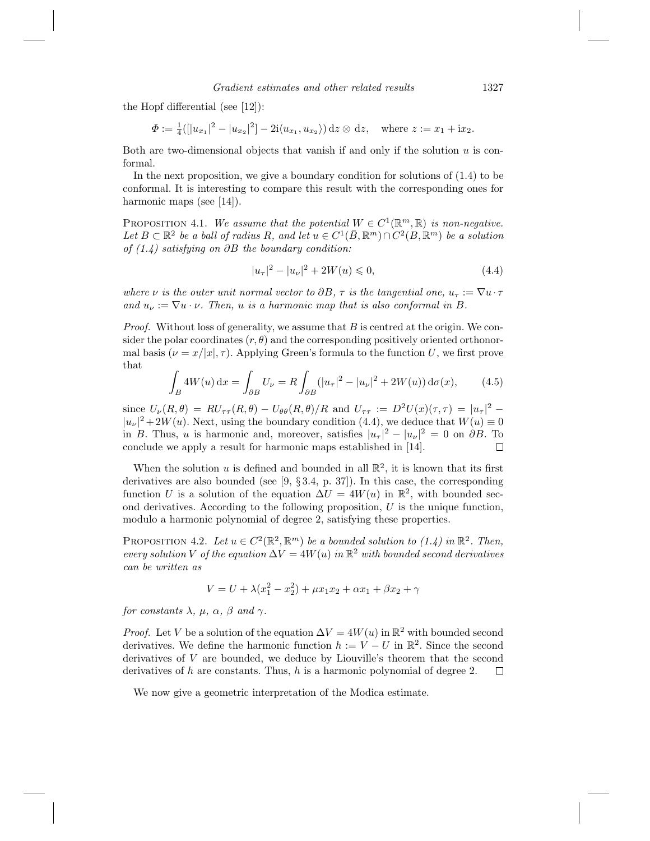the Hopf differential (see [12]):

$$
\Phi := \frac{1}{4} (||u_{x_1}|^2 - |u_{x_2}|^2] - 2i \langle u_{x_1}, u_{x_2} \rangle) \, dz \otimes dz, \quad \text{where } z := x_1 + ix_2.
$$

Both are two-dimensional objects that vanish if and only if the solution  $u$  is conformal.

In the next proposition, we give a boundary condition for solutions of (1.4) to be conformal. It is interesting to compare this result with the corresponding ones for harmonic maps (see [14]).

PROPOSITION 4.1. We assume that the potential  $W \in C^1(\mathbb{R}^m, \mathbb{R})$  is non-negative. Let  $B \subset \mathbb{R}^2$  be a ball of radius R, and let  $u \in C^1(\overline{B}, \mathbb{R}^m) \cap C^2(B, \mathbb{R}^m)$  be a solution of (1.4) satisfying on ∂B the boundary condition:

$$
|u_{\tau}|^{2} - |u_{\nu}|^{2} + 2W(u) \leq 0,
$$
\n(4.4)

where  $\nu$  is the outer unit normal vector to  $\partial B$ ,  $\tau$  is the tangential one,  $u_{\tau} := \nabla u \cdot \tau$ and  $u_{\nu} := \nabla u \cdot \nu$ . Then, u is a harmonic map that is also conformal in B.

*Proof.* Without loss of generality, we assume that  $B$  is centred at the origin. We consider the polar coordinates  $(r, \theta)$  and the corresponding positively oriented orthonormal basis ( $\nu = x/|x|, \tau$ ). Applying Green's formula to the function U, we first prove that

$$
\int_{B} 4W(u) \, dx = \int_{\partial B} U_{\nu} = R \int_{\partial B} (|u_{\tau}|^{2} - |u_{\nu}|^{2} + 2W(u)) \, d\sigma(x), \tag{4.5}
$$

since  $U_{\nu}(R,\theta) = RU_{\tau\tau}(R,\theta) - U_{\theta\theta}(R,\theta)/R$  and  $U_{\tau\tau} := D^2U(x)(\tau,\tau) = |u_{\tau}|^2$  $|u_{\nu}|^2 + 2W(u)$ . Next, using the boundary condition (4.4), we deduce that  $W(u) \equiv 0$ in B. Thus, u is harmonic and, moreover, satisfies  $|u_\tau|^2 - |u_\nu|^2 = 0$  on  $\partial B$ . To conclude we apply a result for harmonic maps established in [14].  $\Box$ 

When the solution u is defined and bounded in all  $\mathbb{R}^2$ , it is known that its first derivatives are also bounded (see [9, § 3.4, p. 37]). In this case, the corresponding function U is a solution of the equation  $\Delta U = 4W(u)$  in  $\mathbb{R}^2$ , with bounded second derivatives. According to the following proposition,  $U$  is the unique function, modulo a harmonic polynomial of degree 2, satisfying these properties.

PROPOSITION 4.2. Let  $u \in C^2(\mathbb{R}^2, \mathbb{R}^m)$  be a bounded solution to  $(1.4)$  in  $\mathbb{R}^2$ . Then, every solution V of the equation  $\Delta V = 4W(u)$  in  $\mathbb{R}^2$  with bounded second derivatives can be written as

$$
V = U + \lambda(x_1^2 - x_2^2) + \mu x_1 x_2 + \alpha x_1 + \beta x_2 + \gamma
$$

for constants  $\lambda$ ,  $\mu$ ,  $\alpha$ ,  $\beta$  and  $\gamma$ .

*Proof.* Let V be a solution of the equation  $\Delta V = 4W(u)$  in  $\mathbb{R}^2$  with bounded second derivatives. We define the harmonic function  $h := V - U$  in  $\mathbb{R}^2$ . Since the second derivatives of V are bounded, we deduce by Liouville's theorem that the second derivatives of  $h$  are constants. Thus,  $h$  is a harmonic polynomial of degree 2.  $\Box$ 

We now give a geometric interpretation of the Modica estimate.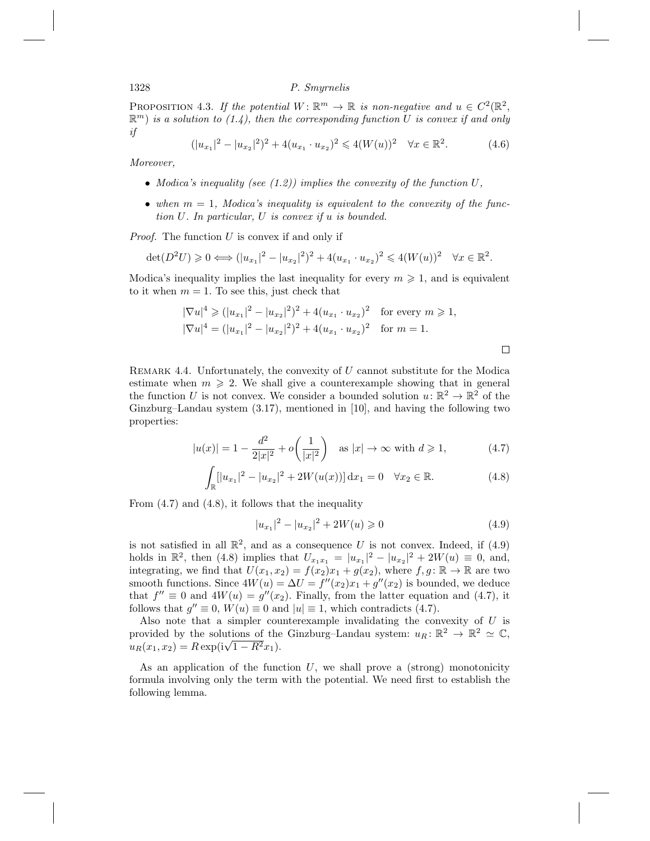PROPOSITION 4.3. If the potential  $W: \mathbb{R}^m \to \mathbb{R}$  is non-negative and  $u \in C^2(\mathbb{R}^2)$ .  $\mathbb{R}^m$ ) is a solution to (1.4), then the corresponding function U is convex if and only if

$$
(|u_{x_1}|^2 - |u_{x_2}|^2)^2 + 4(u_{x_1} \cdot u_{x_2})^2 \le 4(W(u))^2 \quad \forall x \in \mathbb{R}^2.
$$
 (4.6)

Moreover,

- Modica's inequality (see  $(1.2)$ ) implies the convexity of the function U,
- when  $m = 1$ , Modica's inequality is equivalent to the convexity of the function U. In particular, U is convex if u is bounded.

*Proof.* The function  $U$  is convex if and only if

$$
\det(D^2U) \ge 0 \iff (|u_{x_1}|^2 - |u_{x_2}|^2)^2 + 4(u_{x_1} \cdot u_{x_2})^2 \le 4(W(u))^2 \quad \forall x \in \mathbb{R}^2.
$$

Modica's inequality implies the last inequality for every  $m \geqslant 1$ , and is equivalent to it when  $m = 1$ . To see this, just check that

$$
|\nabla u|^4 \ge (|u_{x_1}|^2 - |u_{x_2}|^2)^2 + 4(u_{x_1} \cdot u_{x_2})^2 \quad \text{for every } m \ge 1,
$$
  

$$
|\nabla u|^4 = (|u_{x_1}|^2 - |u_{x_2}|^2)^2 + 4(u_{x_1} \cdot u_{x_2})^2 \quad \text{for } m = 1.
$$

REMARK 4.4. Unfortunately, the convexity of  $U$  cannot substitute for the Modica estimate when  $m \geqslant 2$ . We shall give a counterexample showing that in general the function U is not convex. We consider a bounded solution  $u: \mathbb{R}^2 \to \mathbb{R}^2$  of the Ginzburg–Landau system (3.17), mentioned in [10], and having the following two properties:

$$
|u(x)| = 1 - \frac{d^2}{2|x|^2} + o\left(\frac{1}{|x|^2}\right) \quad \text{as } |x| \to \infty \text{ with } d \ge 1,
$$
 (4.7)

$$
\int_{\mathbb{R}} [|u_{x_1}|^2 - |u_{x_2}|^2 + 2W(u(x))] \, \mathrm{d}x_1 = 0 \quad \forall x_2 \in \mathbb{R}.
$$
 (4.8)

From (4.7) and (4.8), it follows that the inequality

$$
|u_{x_1}|^2 - |u_{x_2}|^2 + 2W(u) \ge 0
$$
\n(4.9)

is not satisfied in all  $\mathbb{R}^2$ , and as a consequence U is not convex. Indeed, if (4.9) holds in  $\mathbb{R}^2$ , then (4.8) implies that  $U_{x_1x_1} = |u_{x_1}|^2 - |u_{x_2}|^2 + 2W(u) \equiv 0$ , and, integrating, we find that  $U(x_1, x_2) = f(x_2)x_1 + g(x_2)$ , where  $f, g: \mathbb{R} \to \mathbb{R}$  are two smooth functions. Since  $4W(u) = \Delta U = f''(x_2)x_1 + g''(x_2)$  is bounded, we deduce that  $f'' \equiv 0$  and  $4W(u) = g''(x_2)$ . Finally, from the latter equation and (4.7), it follows that  $g'' \equiv 0$ ,  $W(u) \equiv 0$  and  $|u| \equiv 1$ , which contradicts (4.7).

Also note that a simpler counterexample invalidating the convexity of  $U$  is provided by the solutions of the Ginzburg–Landau system:  $u_R: \mathbb{R}^2 \to \mathbb{R}^2 \simeq \mathbb{C}$ ,  $u_R(x_1, x_2) = R \exp(i\sqrt{1 - R^2}x_1).$ 

As an application of the function  $U$ , we shall prove a (strong) monotonicity formula involving only the term with the potential. We need first to establish the following lemma.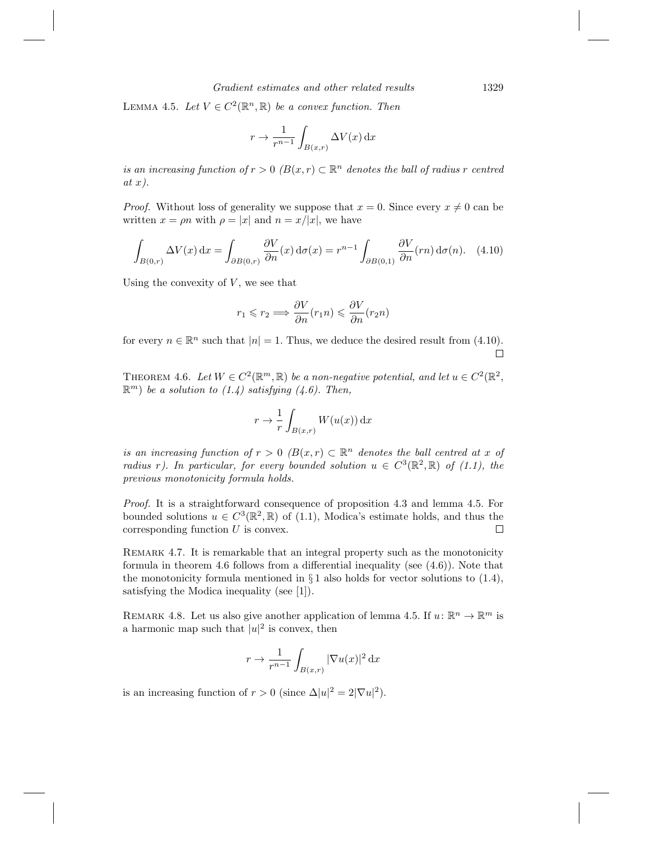### Gradient estimates and other related results 1329

LEMMA 4.5. Let  $V \in C^2(\mathbb{R}^n, \mathbb{R})$  be a convex function. Then

$$
r \to \frac{1}{r^{n-1}} \int_{B(x,r)} \Delta V(x) \, \mathrm{d}x
$$

is an increasing function of  $r > 0$   $(B(x, r) \subset \mathbb{R}^n$  denotes the ball of radius r centred  $at x$ ).

*Proof.* Without loss of generality we suppose that  $x = 0$ . Since every  $x \neq 0$  can be written  $x = \rho n$  with  $\rho = |x|$  and  $n = x/|x|$ , we have

$$
\int_{B(0,r)} \Delta V(x) dx = \int_{\partial B(0,r)} \frac{\partial V}{\partial n}(x) d\sigma(x) = r^{n-1} \int_{\partial B(0,1)} \frac{\partial V}{\partial n}(rn) d\sigma(n).
$$
 (4.10)

Using the convexity of  $V$ , we see that

$$
r_1 \leqslant r_2 \Longrightarrow \frac{\partial V}{\partial n}(r_1 n) \leqslant \frac{\partial V}{\partial n}(r_2 n)
$$

for every  $n \in \mathbb{R}^n$  such that  $|n| = 1$ . Thus, we deduce the desired result from (4.10).  $\Box$ 

THEOREM 4.6. Let  $W \in C^2(\mathbb{R}^m, \mathbb{R})$  be a non-negative potential, and let  $u \in C^2(\mathbb{R}^2, \mathbb{R})$  $\mathbb{R}^m$ ) be a solution to (1.4) satisfying (4.6). Then,

$$
r \to \frac{1}{r} \int_{B(x,r)} W(u(x)) \, \mathrm{d}x
$$

is an increasing function of  $r > 0$  ( $B(x,r) \subset \mathbb{R}^n$  denotes the ball centred at x of radius r). In particular, for every bounded solution  $u \in C^3(\mathbb{R}^2, \mathbb{R})$  of (1.1), the previous monotonicity formula holds.

Proof. It is a straightforward consequence of proposition 4.3 and lemma 4.5. For bounded solutions  $u \in C^3(\mathbb{R}^2, \mathbb{R})$  of (1.1), Modica's estimate holds, and thus the corresponding function  $U$  is convex.  $\Box$ 

Remark 4.7. It is remarkable that an integral property such as the monotonicity formula in theorem 4.6 follows from a differential inequality (see  $(4.6)$ ). Note that the monotonicity formula mentioned in  $\S 1$  also holds for vector solutions to  $(1.4)$ , satisfying the Modica inequality (see [1]).

REMARK 4.8. Let us also give another application of lemma 4.5. If  $u: \mathbb{R}^n \to \mathbb{R}^m$  is a harmonic map such that  $|u|^2$  is convex, then

$$
r \to \frac{1}{r^{n-1}} \int_{B(x,r)} |\nabla u(x)|^2 \,\mathrm{d}x
$$

is an increasing function of  $r > 0$  (since  $\Delta |u|^2 = 2|\nabla u|^2$ ).